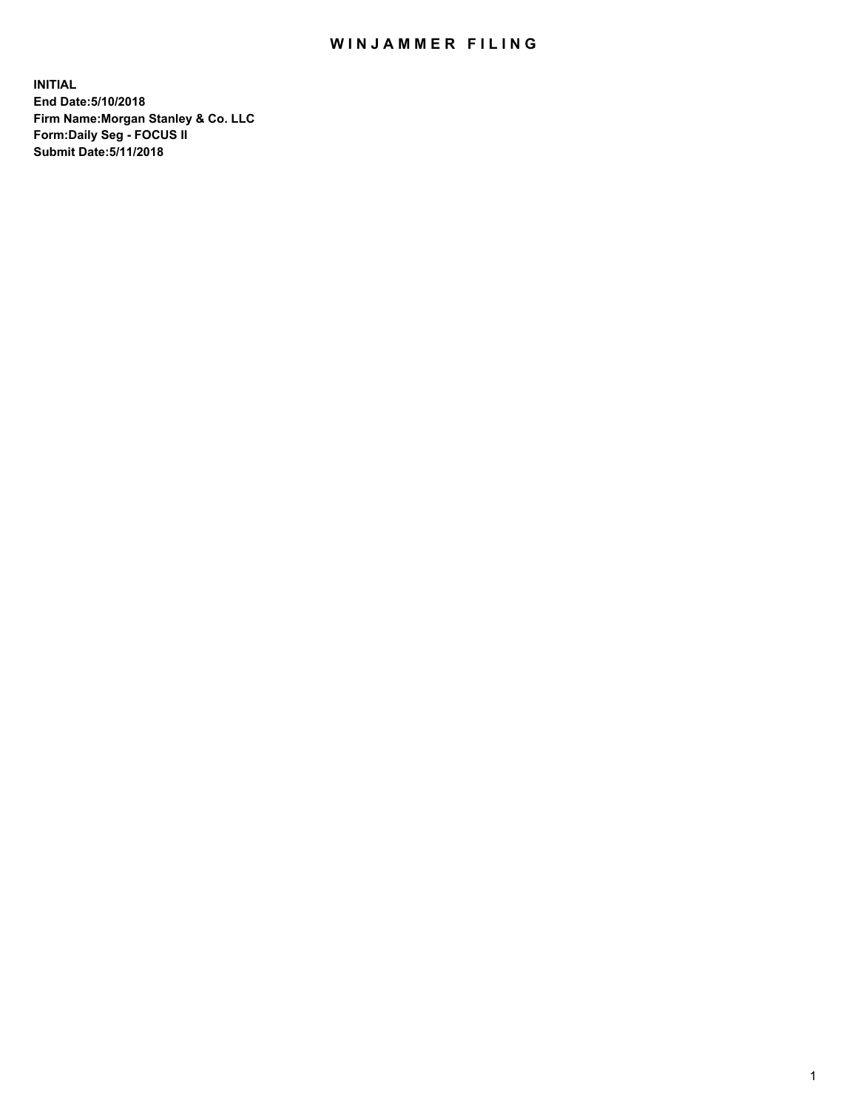## WIN JAMMER FILING

**INITIAL End Date:5/10/2018 Firm Name:Morgan Stanley & Co. LLC Form:Daily Seg - FOCUS II Submit Date:5/11/2018**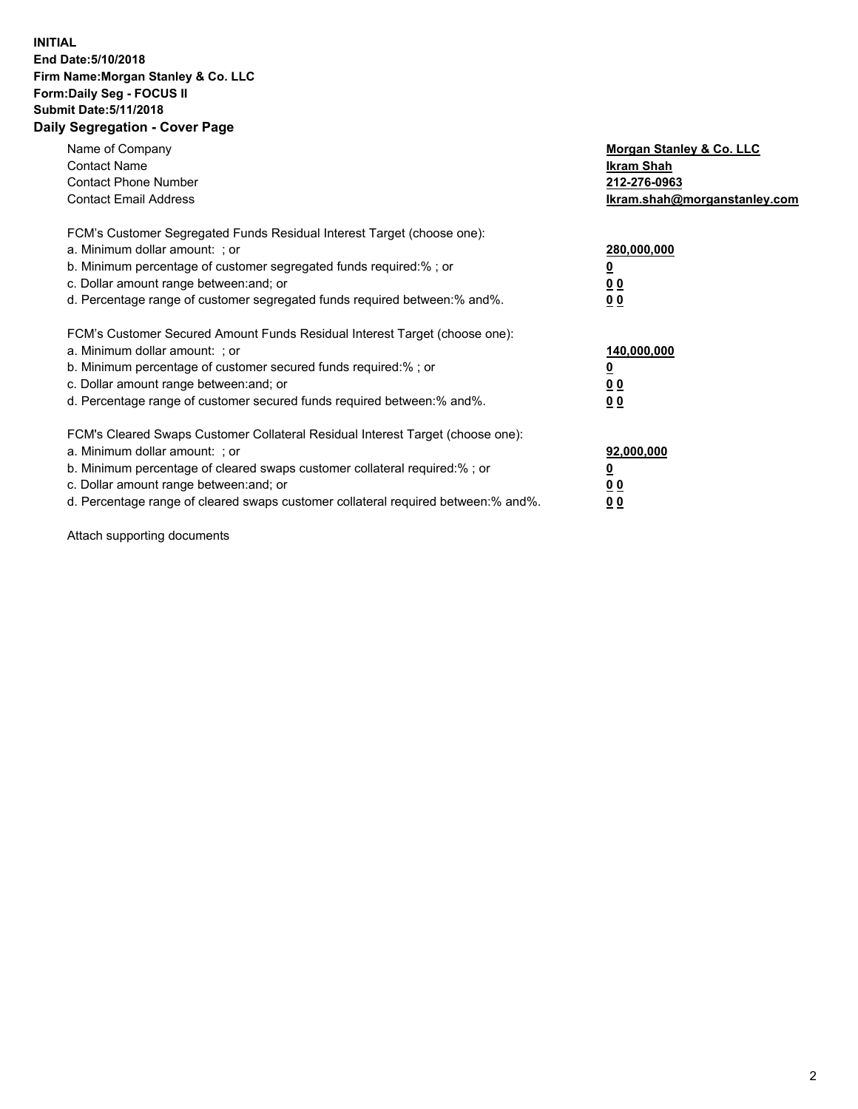## **INITIAL End Date:5/10/2018 Firm Name:Morgan Stanley & Co. LLC Form:Daily Seg - FOCUS II Submit Date:5/11/2018 Daily Segregation - Cover Page**

| Name of Company<br><b>Contact Name</b><br><b>Contact Phone Number</b><br><b>Contact Email Address</b>                                                                                                                                                                                                                          | Morgan Stanley & Co. LLC<br><b>Ikram Shah</b><br>212-276-0963<br>Ikram.shah@morganstanley.com |
|--------------------------------------------------------------------------------------------------------------------------------------------------------------------------------------------------------------------------------------------------------------------------------------------------------------------------------|-----------------------------------------------------------------------------------------------|
| FCM's Customer Segregated Funds Residual Interest Target (choose one):<br>a. Minimum dollar amount: ; or<br>b. Minimum percentage of customer segregated funds required:%; or<br>c. Dollar amount range between: and; or<br>d. Percentage range of customer segregated funds required between: % and %.                        | 280,000,000<br><u>0</u><br>0 <sub>0</sub><br>0 <sub>0</sub>                                   |
| FCM's Customer Secured Amount Funds Residual Interest Target (choose one):<br>a. Minimum dollar amount: ; or<br>b. Minimum percentage of customer secured funds required:%; or<br>c. Dollar amount range between: and; or<br>d. Percentage range of customer secured funds required between: % and %.                          | 140,000,000<br>0 <sub>0</sub><br>0 <sub>0</sub>                                               |
| FCM's Cleared Swaps Customer Collateral Residual Interest Target (choose one):<br>a. Minimum dollar amount: ; or<br>b. Minimum percentage of cleared swaps customer collateral required:% ; or<br>c. Dollar amount range between: and; or<br>d. Percentage range of cleared swaps customer collateral required between:% and%. | 92,000,000<br>0 <sub>0</sub><br>0 <sub>0</sub>                                                |

Attach supporting documents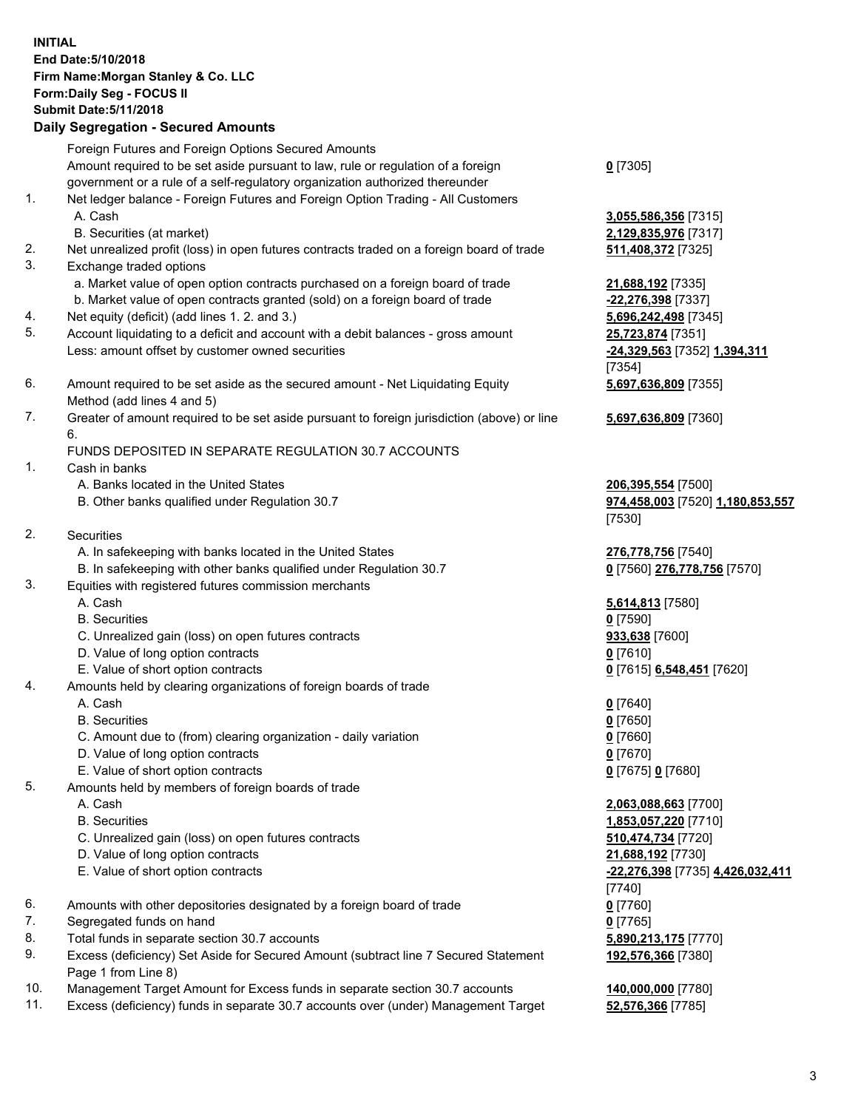## **INITIAL End Date:5/10/2018 Firm Name:Morgan Stanley & Co. LLC Form:Daily Seg - FOCUS II Submit Date:5/11/2018 Daily Segregation - Secured Amounts**

Foreign Futures and Foreign Options Secured Amounts Amount required to be set aside pursuant to law, rule or regulation of a foreign government or a rule of a self-regulatory organization authorized thereunder

- 1. Net ledger balance Foreign Futures and Foreign Option Trading All Customers A. Cash **3,055,586,356** [7315]
	- B. Securities (at market) **2,129,835,976** [7317]
- 2. Net unrealized profit (loss) in open futures contracts traded on a foreign board of trade **511,408,372** [7325]
- 3. Exchange traded options
	- a. Market value of open option contracts purchased on a foreign board of trade **21,688,192** [7335]
	- b. Market value of open contracts granted (sold) on a foreign board of trade **-22,276,398** [7337]
- 4. Net equity (deficit) (add lines 1. 2. and 3.) **5,696,242,498** [7345]
- 5. Account liquidating to a deficit and account with a debit balances gross amount **25,723,874** [7351] Less: amount offset by customer owned securities **-24,329,563** [7352] **1,394,311**
- 6. Amount required to be set aside as the secured amount Net Liquidating Equity Method (add lines 4 and 5)
- 7. Greater of amount required to be set aside pursuant to foreign jurisdiction (above) or line 6.

## FUNDS DEPOSITED IN SEPARATE REGULATION 30.7 ACCOUNTS

- 1. Cash in banks
	- A. Banks located in the United States **206,395,554** [7500]
	- B. Other banks qualified under Regulation 30.7 **974,458,003** [7520] **1,180,853,557**
- 2. Securities
	- A. In safekeeping with banks located in the United States **276,778,756** [7540]
	- B. In safekeeping with other banks qualified under Regulation 30.7 **0** [7560] **276,778,756** [7570]
- 3. Equities with registered futures commission merchants
	-
	-
	- C. Unrealized gain (loss) on open futures contracts **933,638** [7600]
	- D. Value of long option contracts **0** [7610]
- E. Value of short option contracts **0** [7615] **6,548,451** [7620]
- 4. Amounts held by clearing organizations of foreign boards of trade
	-
	-
	- C. Amount due to (from) clearing organization daily variation **0** [7660]
	- D. Value of long option contracts **0** [7670]
	- E. Value of short option contracts **0** [7675] **0** [7680]
- 5. Amounts held by members of foreign boards of trade
	-
	-
	- C. Unrealized gain (loss) on open futures contracts **510,474,734** [7720]
	- D. Value of long option contracts **21,688,192** [7730]
	- E. Value of short option contracts **-22,276,398** [7735] **4,426,032,411**
- 6. Amounts with other depositories designated by a foreign board of trade **0** [7760]
- 7. Segregated funds on hand **0** [7765]
- 8. Total funds in separate section 30.7 accounts **5,890,213,175** [7770]
- 9. Excess (deficiency) Set Aside for Secured Amount (subtract line 7 Secured Statement Page 1 from Line 8)
- 10. Management Target Amount for Excess funds in separate section 30.7 accounts **140,000,000** [7780]
- 11. Excess (deficiency) funds in separate 30.7 accounts over (under) Management Target **52,576,366** [7785]

**0** [7305]

[7354] **5,697,636,809** [7355]

**5,697,636,809** [7360]

[7530]

 A. Cash **5,614,813** [7580] B. Securities **0** [7590]

 A. Cash **0** [7640] B. Securities **0** [7650]

 A. Cash **2,063,088,663** [7700] B. Securities **1,853,057,220** [7710] [7740] **192,576,366** [7380]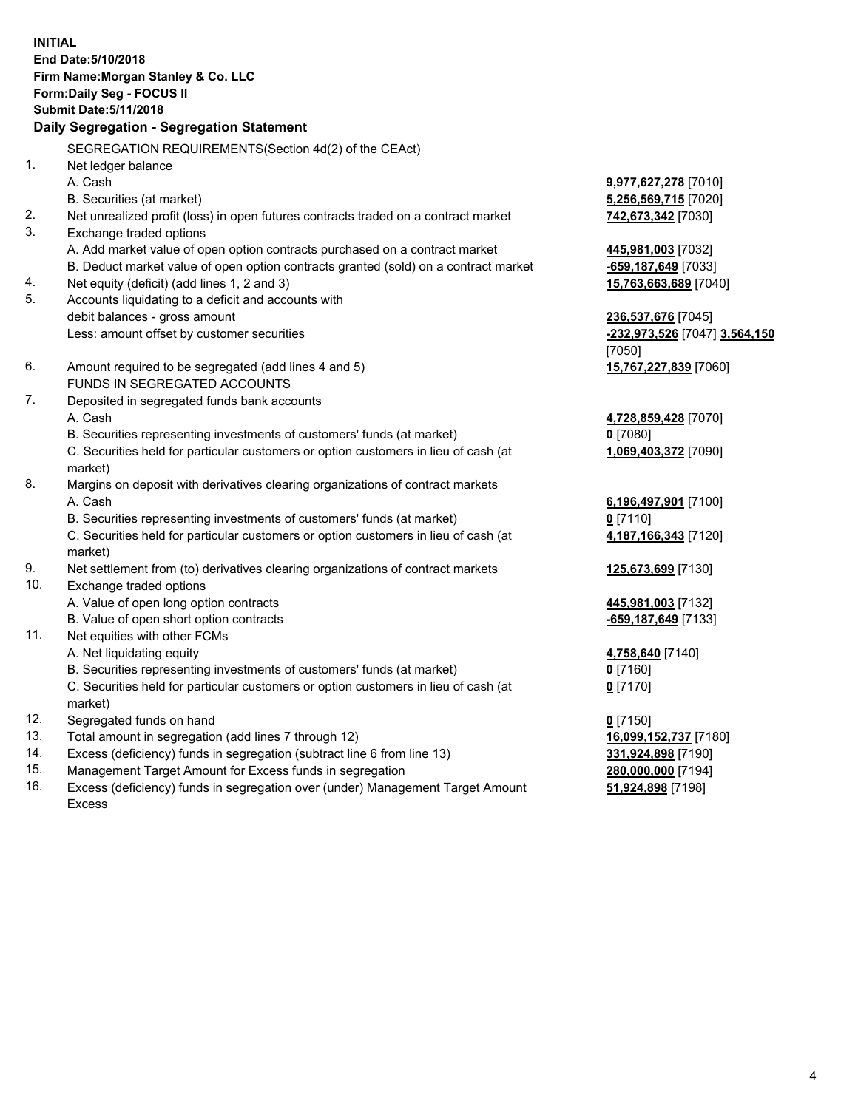**INITIAL End Date:5/10/2018 Firm Name:Morgan Stanley & Co. LLC Form:Daily Seg - FOCUS II Submit Date:5/11/2018 Daily Segregation - Segregation Statement** SEGREGATION REQUIREMENTS(Section 4d(2) of the CEAct) 1. Net ledger balance A. Cash **9,977,627,278** [7010] B. Securities (at market) **5,256,569,715** [7020] 2. Net unrealized profit (loss) in open futures contracts traded on a contract market **742,673,342** [7030] 3. Exchange traded options A. Add market value of open option contracts purchased on a contract market **445,981,003** [7032] B. Deduct market value of open option contracts granted (sold) on a contract market **-659,187,649** [7033] 4. Net equity (deficit) (add lines 1, 2 and 3) **15,763,663,689** [7040] 5. Accounts liquidating to a deficit and accounts with debit balances - gross amount **236,537,676** [7045] Less: amount offset by customer securities **-232,973,526** [7047] **3,564,150** [7050] 6. Amount required to be segregated (add lines 4 and 5) **15,767,227,839** [7060] FUNDS IN SEGREGATED ACCOUNTS 7. Deposited in segregated funds bank accounts A. Cash **4,728,859,428** [7070] B. Securities representing investments of customers' funds (at market) **0** [7080] C. Securities held for particular customers or option customers in lieu of cash (at market) **1,069,403,372** [7090] 8. Margins on deposit with derivatives clearing organizations of contract markets A. Cash **6,196,497,901** [7100] B. Securities representing investments of customers' funds (at market) **0** [7110] C. Securities held for particular customers or option customers in lieu of cash (at market) **4,187,166,343** [7120] 9. Net settlement from (to) derivatives clearing organizations of contract markets **125,673,699** [7130] 10. Exchange traded options A. Value of open long option contracts **445,981,003** [7132] B. Value of open short option contracts **-659,187,649** [7133] 11. Net equities with other FCMs A. Net liquidating equity **4,758,640** [7140] B. Securities representing investments of customers' funds (at market) **0** [7160] C. Securities held for particular customers or option customers in lieu of cash (at market) **0** [7170] 12. Segregated funds on hand **0** [7150] 13. Total amount in segregation (add lines 7 through 12) **16,099,152,737** [7180] 14. Excess (deficiency) funds in segregation (subtract line 6 from line 13) **331,924,898** [7190]

- 15. Management Target Amount for Excess funds in segregation **280,000,000** [7194]
- 16. Excess (deficiency) funds in segregation over (under) Management Target Amount Excess

**51,924,898** [7198]